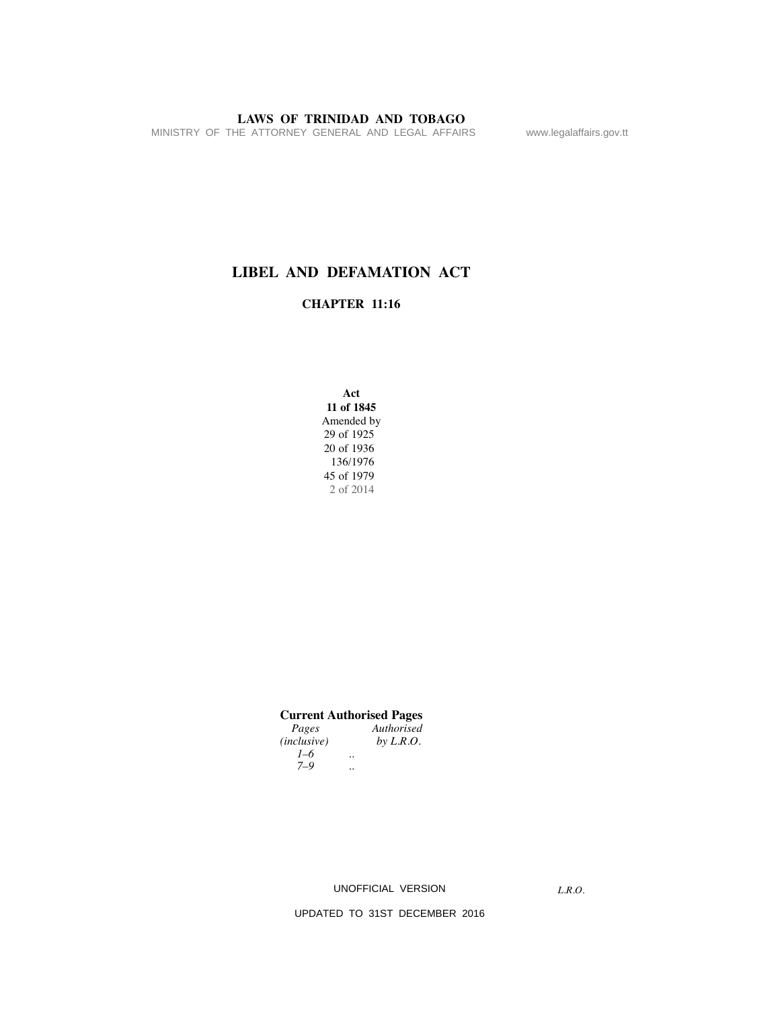MINISTRY OF THE ATTORNEY GENERAL AND LEGAL AFFAIRS www.legalaffairs.gov.tt

# **LIBEL AND DEFAMATION ACT**

### **CHAPTER 11:16**

**Act 11 of 1845** Amended by 29 of 1925 20 of 1936 136/1976 45 of 1979 2 of 2014

| <b>Current Authorised Pages</b> |  |
|---------------------------------|--|
|---------------------------------|--|

| Pages       |                      | Authorised |
|-------------|----------------------|------------|
| (inclusive) |                      | by L.R.O.  |
| $1 - 6$     | $\ddot{\phantom{0}}$ |            |
| $7 - 9$     | $\ddot{\phantom{0}}$ |            |

UNOFFICIAL VERSION

*L.R.O.*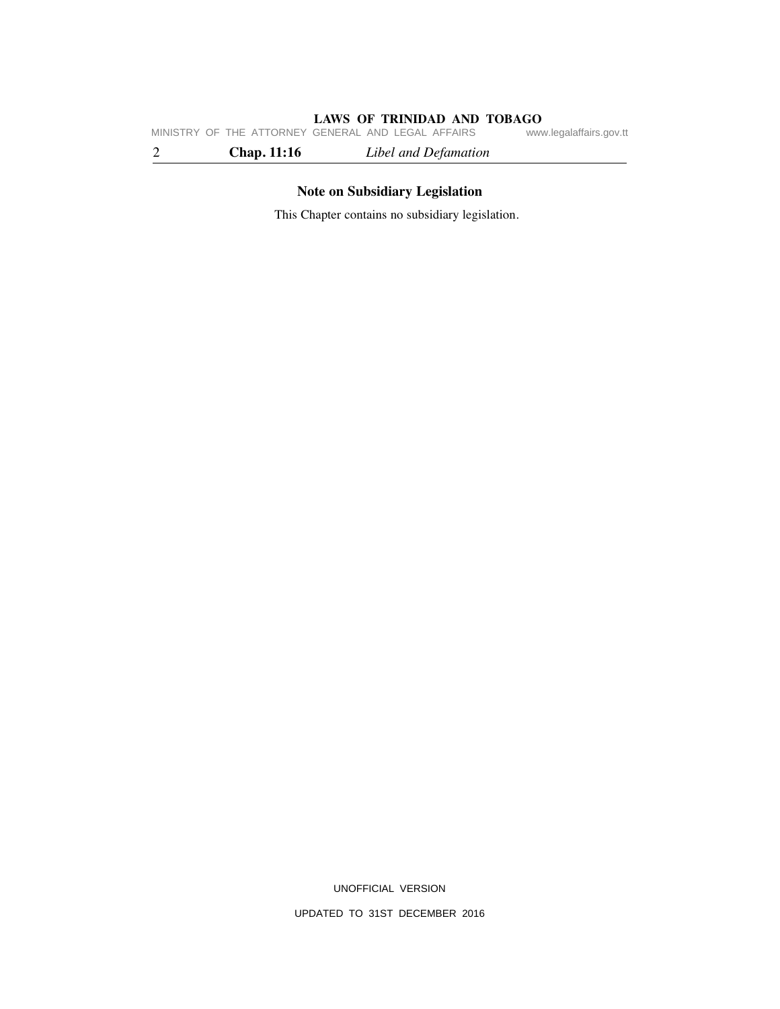**LAWS OF TRINIDAD AND TOBAGO**<br>GENERAL AND LEGAL AFFAIRS www.legalaffairs.gov.tt MINISTRY OF THE ATTORNEY GENERAL AND LEGAL AFFAIRS

2 **Chap. 11:16** *Libel and Defamation*

# **Note on Subsidiary Legislation**

This Chapter contains no subsidiary legislation.

UNOFFICIAL VERSION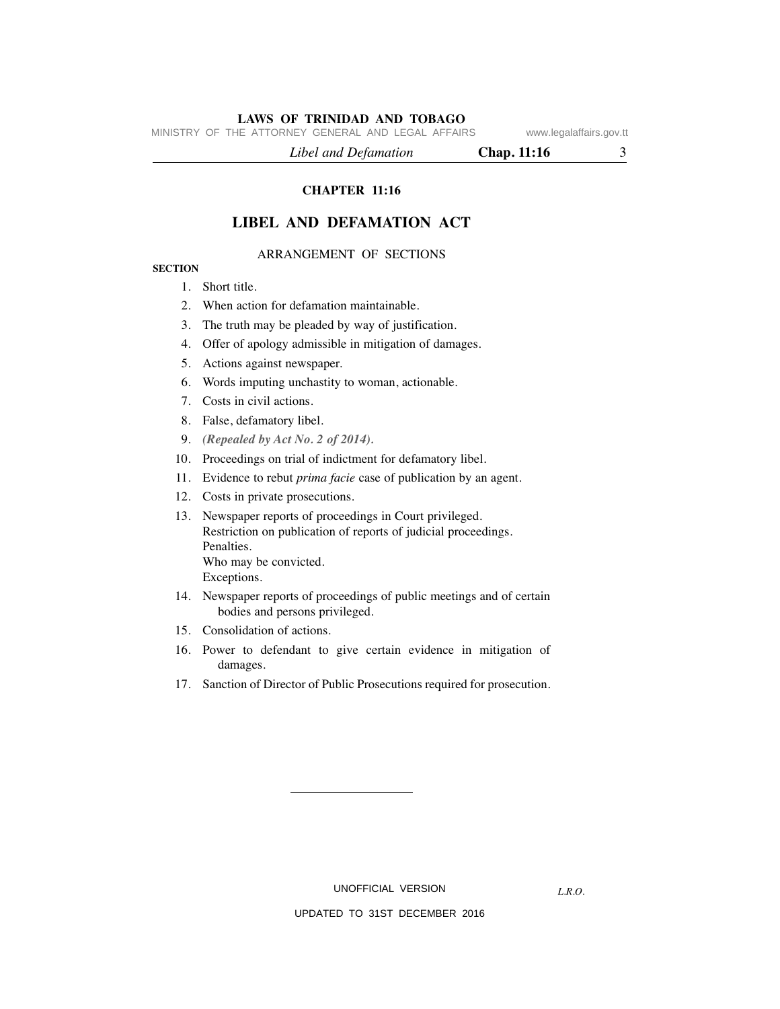MINISTRY OF THE ATTORNEY GENERAL AND LEGAL AFFAIRS www.legalaffairs.gov.tt

 *Libel and Defamation* **Chap. 11:16** 3

**CHAPTER 11:16**

#### **LIBEL AND DEFAMATION ACT**

#### ARRANGEMENT OF SECTIONS

#### **SECTION**

#### 1. Short title.

- 2. When action for defamation maintainable.
- 3. The truth may be pleaded by way of justification.
- 4. Offer of apology admissible in mitigation of damages.
- 5. Actions against newspaper.
- 6. Words imputing unchastity to woman, actionable.
- 7. Costs in civil actions.
- 8. False, defamatory libel.
- 9. *(Repealed by Act No. 2 of 2014).*
- 10. Proceedings on trial of indictment for defamatory libel.
- 11. Evidence to rebut *prima facie* case of publication by an agent.
- 12. Costs in private prosecutions.
- 13. Newspaper reports of proceedings in Court privileged. Restriction on publication of reports of judicial proceedings. Penalties. Who may be convicted. Exceptions.
- 14. Newspaper reports of proceedings of public meetings and of certain bodies and persons privileged.
- 15. Consolidation of actions.
- 16. Power to defendant to give certain evidence in mitigation of damages.
- 17. Sanction of Director of Public Prosecutions required for prosecution.

UNOFFICIAL VERSION

*L.R.O.*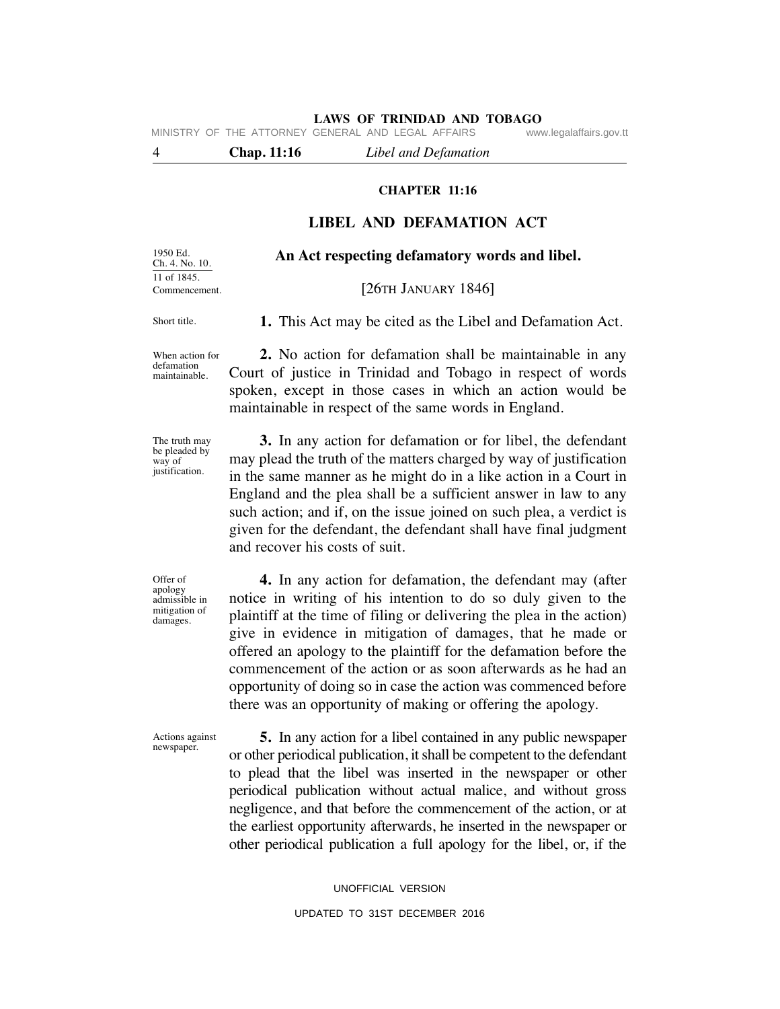MINISTRY OF THE ATTORNEY GENERAL AND LEGAL AFFAIRS www.legalaffairs.gov.tt

4 **Chap. 11:16** *Libel and Defamation*

#### **CHAPTER 11:16**

#### **LIBEL AND DEFAMATION ACT**

**An Act respecting defamatory words and libel.**

1950 Ed. Ch. 4. No. 10. 11 of 1845. Commencement.

#### [26TH JANUARY 1846]

Short title.

 **1.** This Act may be cited as the Libel and Defamation Act.

When action for defamation maintainable.

 **2.** No action for defamation shall be maintainable in any Court of justice in Trinidad and Tobago in respect of words spoken, except in those cases in which an action would be maintainable in respect of the same words in England.

The truth may be pleaded by way of justification.

 **3.** In any action for defamation or for libel, the defendant may plead the truth of the matters charged by way of justification in the same manner as he might do in a like action in a Court in England and the plea shall be a sufficient answer in law to any such action; and if, on the issue joined on such plea, a verdict is given for the defendant, the defendant shall have final judgment and recover his costs of suit.

Offer of apology admissible in mitigation of damages.

 **4.** In any action for defamation, the defendant may (after notice in writing of his intention to do so duly given to the plaintiff at the time of filing or delivering the plea in the action) give in evidence in mitigation of damages, that he made or offered an apology to the plaintiff for the defamation before the commencement of the action or as soon afterwards as he had an opportunity of doing so in case the action was commenced before there was an opportunity of making or offering the apology.

Actions against newspaper.

 **5.** In any action for a libel contained in any public newspaper or other periodical publication, it shall be competent to the defendant to plead that the libel was inserted in the newspaper or other periodical publication without actual malice, and without gross negligence, and that before the commencement of the action, or at the earliest opportunity afterwards, he inserted in the newspaper or other periodical publication a full apology for the libel, or, if the

> UNOFFICIAL VERSION UPDATED TO 31ST DECEMBER 2016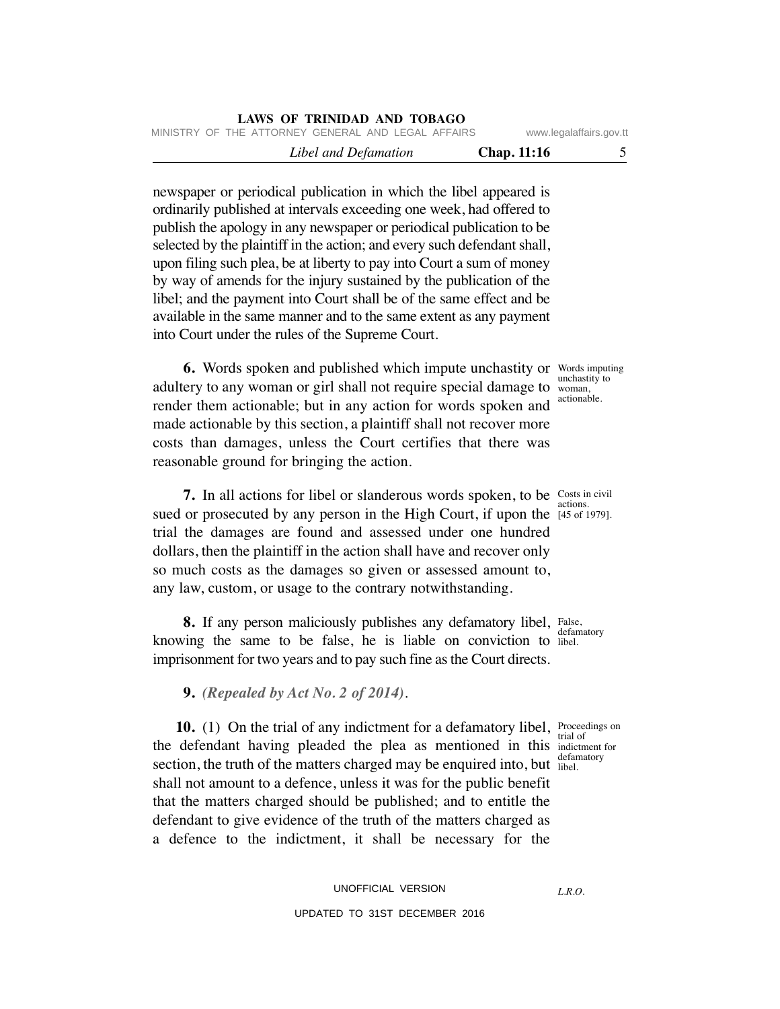| LAND VI INDIDID IND IVERSITY                       |                         |  |
|----------------------------------------------------|-------------------------|--|
| MINISTRY OF THE ATTORNEY GENERAL AND LEGAL AFFAIRS | www.legalaffairs.gov.tt |  |
| Libel and Defamation                               | <b>Chap.</b> 11:16      |  |

newspaper or periodical publication in which the libel appeared is ordinarily published at intervals exceeding one week, had offered to publish the apology in any newspaper or periodical publication to be selected by the plaintiff in the action; and every such defendant shall, upon filing such plea, be at liberty to pay into Court a sum of money by way of amends for the injury sustained by the publication of the libel; and the payment into Court shall be of the same effect and be available in the same manner and to the same extent as any payment into Court under the rules of the Supreme Court.

**LAWS OF TRINIDAD AND TOBAGO**

**6.** Words spoken and published which impute unchastity or Words imputing adultery to any woman or girl shall not require special damage to render them actionable; but in any action for words spoken and made actionable by this section, a plaintiff shall not recover more costs than damages, unless the Court certifies that there was reasonable ground for bringing the action.

**7.** In all actions for libel or slanderous words spoken, to be Costs in civil sued or prosecuted by any person in the High Court, if upon the  $\frac{145}{145}$  of 1979]. trial the damages are found and assessed under one hundred dollars, then the plaintiff in the action shall have and recover only so much costs as the damages so given or assessed amount to, any law, custom, or usage to the contrary notwithstanding.

8. If any person maliciously publishes any defamatory libel, False, knowing the same to be false, he is liable on conviction to libel. imprisonment for two years and to pay such fine as the Court directs.

 **9.** *(Repealed by Act No. 2 of 2014)*.

**10.** (1) On the trial of any indictment for a defamatory libel, Proceedings on the defendant having pleaded the plea as mentioned in this indictment for section, the truth of the matters charged may be enquired into, but libel. shall not amount to a defence, unless it was for the public benefit that the matters charged should be published; and to entitle the defendant to give evidence of the truth of the matters charged as a defence to the indictment, it shall be necessary for the

> UNOFFICIAL VERSION UPDATED TO 31ST DECEMBER 2016

unchastity to woman, actionable.

actions.

defamatory

trial of defamatory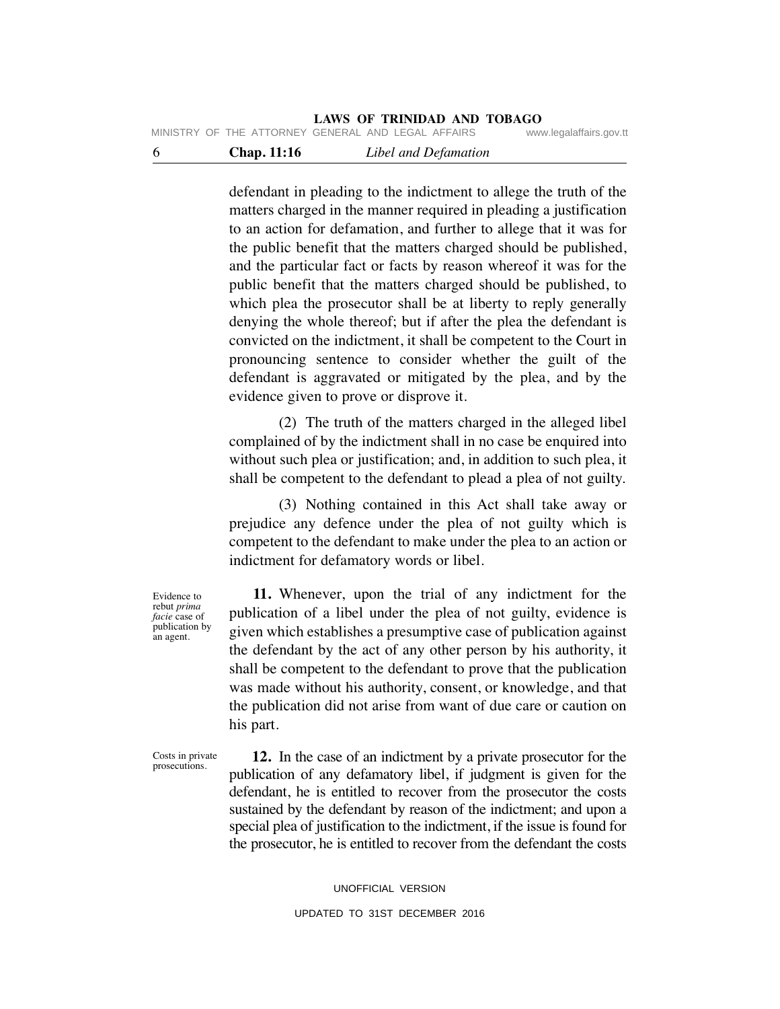MINISTRY OF THE ATTORNEY GENERAL AND LEGAL AFFAIRS www.legalaffairs.gov.tt

6 **Chap. 11:16** *Libel and Defamation*

defendant in pleading to the indictment to allege the truth of the matters charged in the manner required in pleading a justification to an action for defamation, and further to allege that it was for the public benefit that the matters charged should be published, and the particular fact or facts by reason whereof it was for the public benefit that the matters charged should be published, to which plea the prosecutor shall be at liberty to reply generally denying the whole thereof; but if after the plea the defendant is convicted on the indictment, it shall be competent to the Court in pronouncing sentence to consider whether the guilt of the defendant is aggravated or mitigated by the plea, and by the evidence given to prove or disprove it.

 (2) The truth of the matters charged in the alleged libel complained of by the indictment shall in no case be enquired into without such plea or justification; and, in addition to such plea, it shall be competent to the defendant to plead a plea of not guilty.

 (3) Nothing contained in this Act shall take away or prejudice any defence under the plea of not guilty which is competent to the defendant to make under the plea to an action or indictment for defamatory words or libel.

 **11.** Whenever, upon the trial of any indictment for the publication of a libel under the plea of not guilty, evidence is given which establishes a presumptive case of publication against the defendant by the act of any other person by his authority, it shall be competent to the defendant to prove that the publication was made without his authority, consent, or knowledge, and that the publication did not arise from want of due care or caution on his part.

Costs in private prosecutions.

Evidence to rebut *prima facie* case of publication by an agent.

> **12.** In the case of an indictment by a private prosecutor for the publication of any defamatory libel, if judgment is given for the defendant, he is entitled to recover from the prosecutor the costs sustained by the defendant by reason of the indictment; and upon a special plea of justification to the indictment, if the issue is found for the prosecutor, he is entitled to recover from the defendant the costs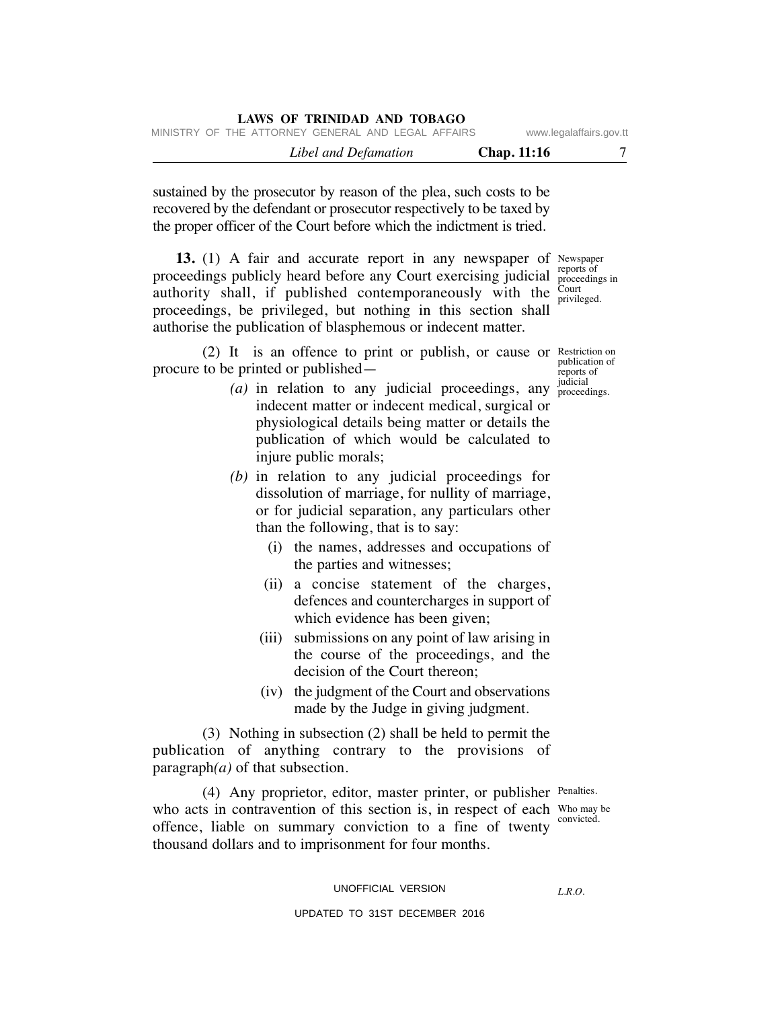| LAWS OF INIMIDAD AND TODAUU<br>MINISTRY OF THE ATTORNEY GENERAL AND LEGAL AFFAIRS |             | www.legalaffairs.gov.tt |
|-----------------------------------------------------------------------------------|-------------|-------------------------|
| Libel and Defamation                                                              | Chap. 11:16 |                         |

sustained by the prosecutor by reason of the plea, such costs to be recovered by the defendant or prosecutor respectively to be taxed by the proper officer of the Court before which the indictment is tried.

**LAWS OF TRINIDAD AND TOBAGO**

13. (1) A fair and accurate report in any newspaper of Newspaper reports of proceedings publicly heard before any Court exercising judicial reports of proceedings in authority shall, if published contemporaneously with the  $\frac{C_{\text{out}}}{\text{critic}}$ privileged. proceedings, be privileged, but nothing in this section shall authorise the publication of blasphemous or indecent matter.

(2) It is an offence to print or publish, or cause or Restriction on procure to be printed or published—

publication of reports of judicial

- $(a)$  in relation to any judicial proceedings, any  $_{\text{proceedings}}^{ \text{Juadral}}$ indecent matter or indecent medical, surgical or physiological details being matter or details the publication of which would be calculated to injure public morals;
	- *(b)* in relation to any judicial proceedings for dissolution of marriage, for nullity of marriage, or for judicial separation, any particulars other than the following, that is to say:
		- (i) the names, addresses and occupations of the parties and witnesses;
		- (ii) a concise statement of the charges, defences and countercharges in support of which evidence has been given;
		- (iii) submissions on any point of law arising in the course of the proceedings, and the decision of the Court thereon;
		- (iv) the judgment of the Court and observations made by the Judge in giving judgment.

 (3) Nothing in subsection (2) shall be held to permit the publication of anything contrary to the provisions of paragraph*(a)* of that subsection.

(4) Any proprietor, editor, master printer, or publisher Penalties. who acts in contravention of this section is, in respect of each  $\frac{W_{\text{ho may be}}}{\text{empirical}}$ offence, liable on summary conviction to a fine of twenty thousand dollars and to imprisonment for four months.

convicted.

UNOFFICIAL VERSION

*L.R.O.*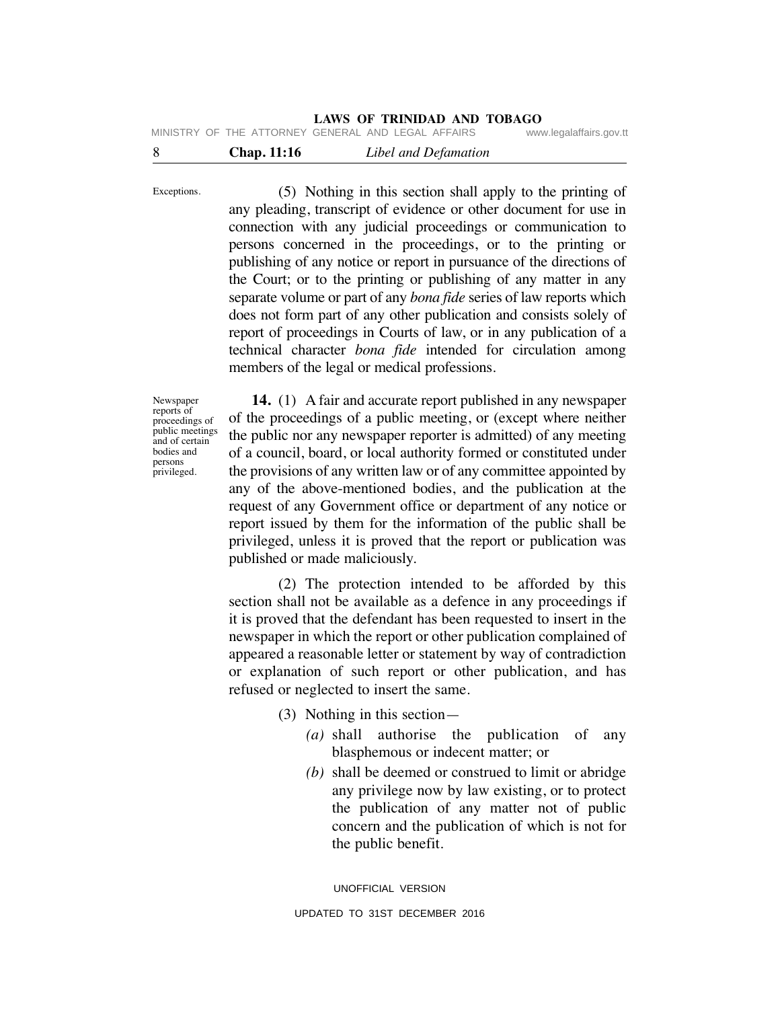| -8 | <b>Chap.</b> 11:16 | Libel and Defamation                               |                        |
|----|--------------------|----------------------------------------------------|------------------------|
|    |                    | MINISTRY OF THE ATTORNEY GENERAL AND LEGAL AFFAIRS | www.legalaffairs.gov.t |

 (5) Nothing in this section shall apply to the printing of any pleading, transcript of evidence or other document for use in connection with any judicial proceedings or communication to persons concerned in the proceedings, or to the printing or publishing of any notice or report in pursuance of the directions of the Court; or to the printing or publishing of any matter in any separate volume or part of any *bona fide* series of law reports which does not form part of any other publication and consists solely of report of proceedings in Courts of law, or in any publication of a technical character *bona fide* intended for circulation among members of the legal or medical professions.

Newspaper reports of proceedings of public meetings and of certain bodies and persons privileged.

Exceptions.

 **14.** (1) A fair and accurate report published in any newspaper of the proceedings of a public meeting, or (except where neither the public nor any newspaper reporter is admitted) of any meeting of a council, board, or local authority formed or constituted under the provisions of any written law or of any committee appointed by any of the above-mentioned bodies, and the publication at the request of any Government office or department of any notice or report issued by them for the information of the public shall be privileged, unless it is proved that the report or publication was published or made maliciously.

 (2) The protection intended to be afforded by this section shall not be available as a defence in any proceedings if it is proved that the defendant has been requested to insert in the newspaper in which the report or other publication complained of appeared a reasonable letter or statement by way of contradiction or explanation of such report or other publication, and has refused or neglected to insert the same.

(3) Nothing in this section—

- *(a)* shall authorise the publication of any blasphemous or indecent matter; or
- *(b)* shall be deemed or construed to limit or abridge any privilege now by law existing, or to protect the publication of any matter not of public concern and the publication of which is not for the public benefit.

UNOFFICIAL VERSION UPDATED TO 31ST DECEMBER 2016